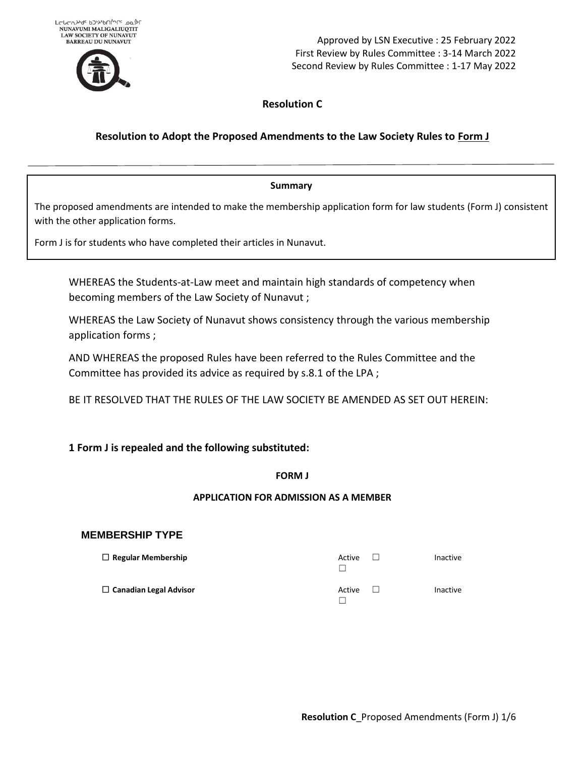

Approved by LSN Executive : 25 February 2022 First Review by Rules Committee : 3-14 March 2022 Second Review by Rules Committee : 1-17 May 2022

# **Resolution C**

# **Resolution to Adopt the Proposed Amendments to the Law Society Rules to Form J**

## **Summary**

The proposed amendments are intended to make the membership application form for law students (Form J) consistent with the other application forms.

Form J is for students who have completed their articles in Nunavut.

WHEREAS the Students-at-Law meet and maintain high standards of competency when becoming members of the Law Society of Nunavut ;

WHEREAS the Law Society of Nunavut shows consistency through the various membership application forms ;

AND WHEREAS the proposed Rules have been referred to the Rules Committee and the Committee has provided its advice as required by s.8.1 of the LPA ;

BE IT RESOLVED THAT THE RULES OF THE LAW SOCIETY BE AMENDED AS SET OUT HEREIN:

## **1 Form J is repealed and the following substituted:**

## **FORM J**

## **APPLICATION FOR ADMISSION AS A MEMBER**

## **MEMBERSHIP TYPE**

| $\Box$ Regular Membership     | Active | <b>Inactive</b> |
|-------------------------------|--------|-----------------|
| $\Box$ Canadian Legal Advisor | Active | Inactive        |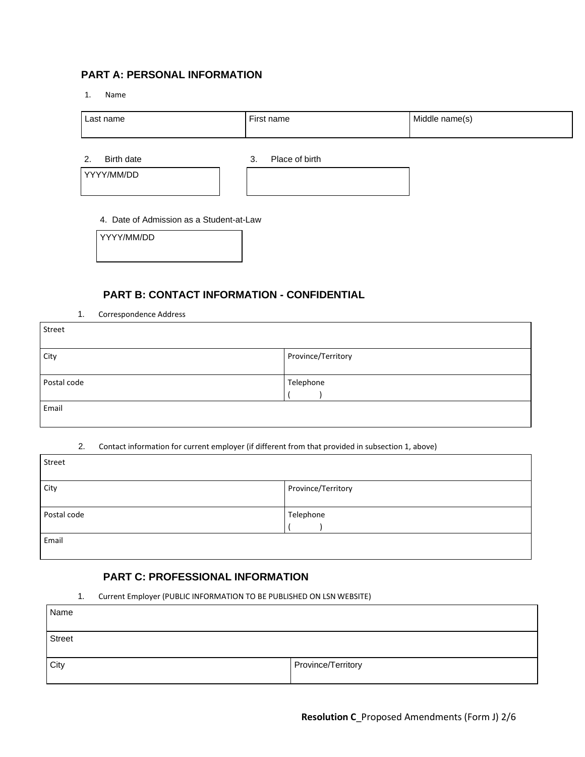# **PART A: PERSONAL INFORMATION**

1. Name

| Last name  | First name           | Middle name(s) |  |  |
|------------|----------------------|----------------|--|--|
| Birth date | Place of birth<br>v. |                |  |  |

YYYY/MM/DD

#### 4. Date of Admission as a Student-at-Law

YYYY/MM/DD

## **PART B: CONTACT INFORMATION - CONFIDENTIAL**

1. Correspondence Address

| Street      |                    |
|-------------|--------------------|
| City        | Province/Territory |
|             |                    |
| Postal code | Telephone          |
|             |                    |
| Email       |                    |
|             |                    |

#### 2. Contact information for current employer (if different from that provided in subsection 1, above)

| Street      |                    |
|-------------|--------------------|
| City        | Province/Territory |
|             |                    |
| Postal code | Telephone          |
|             |                    |
| Email       |                    |
|             |                    |

## **PART C: PROFESSIONAL INFORMATION**

1. Current Employer (PUBLIC INFORMATION TO BE PUBLISHED ON LSN WEBSITE)

| Name          |                    |
|---------------|--------------------|
| <b>Street</b> |                    |
| City          | Province/Territory |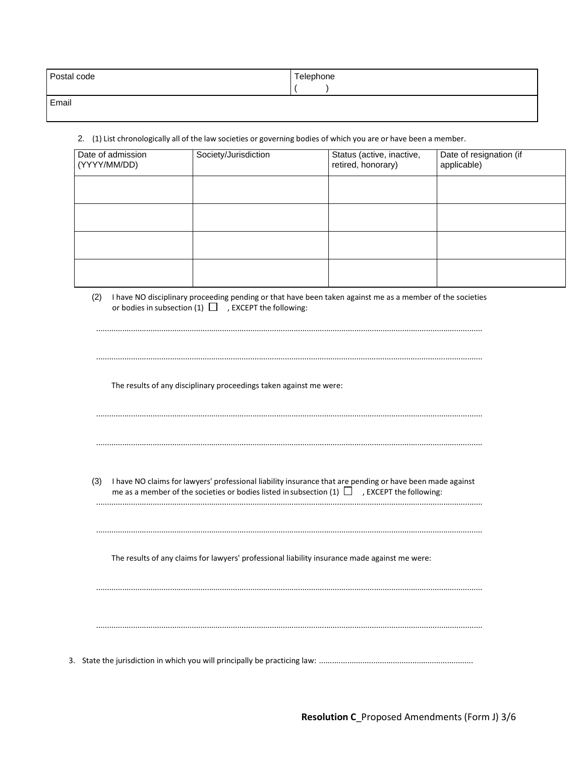| Postal code | Telephone |
|-------------|-----------|
|             |           |
| Email       |           |

2. (1) List chronologically all of the law societies or governing bodies of which you are or have been a member.

| Date of admission<br>(YYYY/MM/DD) | Society/Jurisdiction | Status (active, inactive,<br>retired, honorary) | Date of resignation (if<br>applicable) |
|-----------------------------------|----------------------|-------------------------------------------------|----------------------------------------|
|                                   |                      |                                                 |                                        |
|                                   |                      |                                                 |                                        |
|                                   |                      |                                                 |                                        |
|                                   |                      |                                                 |                                        |

(2) I have NO disciplinary proceeding pending or that have been taken against me as a member of the societies or bodies in subsection  $(1)$   $\Box$  , EXCEPT the following:

|     | The results of any disciplinary proceedings taken against me were:                                                                                                                                             |
|-----|----------------------------------------------------------------------------------------------------------------------------------------------------------------------------------------------------------------|
|     |                                                                                                                                                                                                                |
|     |                                                                                                                                                                                                                |
|     |                                                                                                                                                                                                                |
| (3) | I have NO claims for lawyers' professional liability insurance that are pending or have been made against<br>me as a member of the societies or bodies listed in subsection (1) $\Box$ , EXCEPT the following: |
|     |                                                                                                                                                                                                                |
|     |                                                                                                                                                                                                                |
|     | The results of any claims for lawyers' professional liability insurance made against me were:                                                                                                                  |
|     |                                                                                                                                                                                                                |
|     |                                                                                                                                                                                                                |
|     |                                                                                                                                                                                                                |
|     |                                                                                                                                                                                                                |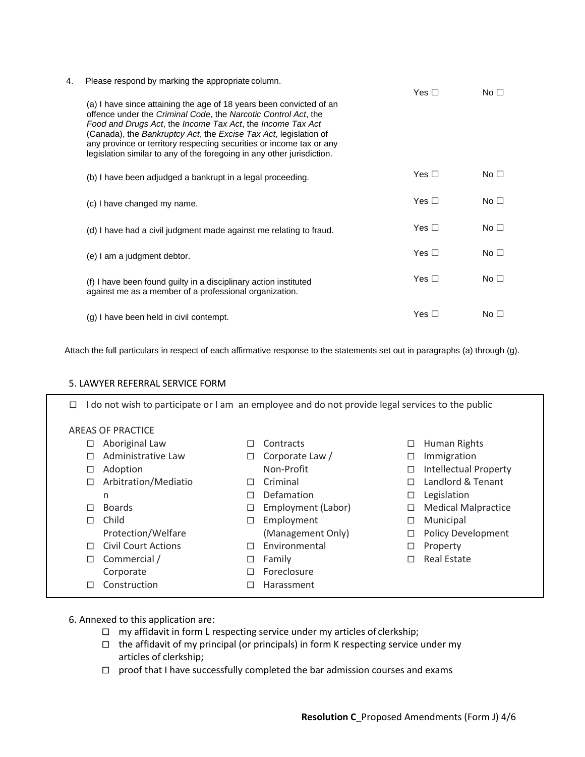| 4. | Please respond by marking the appropriate column.                                                                                                                                                                                                                                                                                                                                                                         |            |                 |
|----|---------------------------------------------------------------------------------------------------------------------------------------------------------------------------------------------------------------------------------------------------------------------------------------------------------------------------------------------------------------------------------------------------------------------------|------------|-----------------|
|    |                                                                                                                                                                                                                                                                                                                                                                                                                           | Yes $\Box$ | No $\Box$       |
|    | (a) I have since attaining the age of 18 years been convicted of an<br>offence under the Criminal Code, the Narcotic Control Act, the<br>Food and Drugs Act, the Income Tax Act, the Income Tax Act<br>(Canada), the Bankruptcy Act, the Excise Tax Act, legislation of<br>any province or territory respecting securities or income tax or any<br>legislation similar to any of the foregoing in any other jurisdiction. |            |                 |
|    | (b) I have been adjudged a bankrupt in a legal proceeding.                                                                                                                                                                                                                                                                                                                                                                | Yes $\Box$ | No <sub>1</sub> |
|    | (c) I have changed my name.                                                                                                                                                                                                                                                                                                                                                                                               | Yes $\Box$ | No $\square$    |
|    | (d) I have had a civil judgment made against me relating to fraud.                                                                                                                                                                                                                                                                                                                                                        | Yes $\Box$ | No <sub>1</sub> |
|    | (e) I am a judgment debtor.                                                                                                                                                                                                                                                                                                                                                                                               | Yes $\Box$ | No $\square$    |
|    | (f) I have been found guilty in a disciplinary action instituted<br>against me as a member of a professional organization.                                                                                                                                                                                                                                                                                                | Yes $\Box$ | No $\square$    |
|    | (g) I have been held in civil contempt.                                                                                                                                                                                                                                                                                                                                                                                   | Yes $\Box$ | No $\Box$       |

Attach the full particulars in respect of each affirmative response to the statements set out in paragraphs (a) through (g).

#### 5. LAWYER REFERRAL SERVICE FORM

| do not wish to participate or I am an employee and do not provide legal services to the public<br>□ |                      |   |                    |   |                              |  |
|-----------------------------------------------------------------------------------------------------|----------------------|---|--------------------|---|------------------------------|--|
| AREAS OF PRACTICE                                                                                   |                      |   |                    |   |                              |  |
| □                                                                                                   | Aboriginal Law       |   | Contracts          | □ | <b>Human Rights</b>          |  |
| п                                                                                                   | Administrative Law   | □ | Corporate Law /    | ப | Immigration                  |  |
| □                                                                                                   | Adoption             |   | Non-Profit         | □ | <b>Intellectual Property</b> |  |
| □                                                                                                   | Arbitration/Mediatio | П | Criminal           | П | Landlord & Tenant            |  |
|                                                                                                     | n                    | П | Defamation         | □ | Legislation                  |  |
| П                                                                                                   | <b>Boards</b>        | □ | Employment (Labor) | □ | <b>Medical Malpractice</b>   |  |
| п                                                                                                   | Child                | □ | Employment         | □ | Municipal                    |  |
|                                                                                                     | Protection/Welfare   |   | (Management Only)  | □ | <b>Policy Development</b>    |  |
| п                                                                                                   | Civil Court Actions  | П | Environmental      | ⊔ | Property                     |  |
| П                                                                                                   | Commercial /         | □ | Family             | П | <b>Real Estate</b>           |  |
|                                                                                                     | Corporate            | П | Foreclosure        |   |                              |  |
| П                                                                                                   | Construction         |   | Harassment         |   |                              |  |

- 6. Annexed to this application are:
	- $\Box$  my affidavit in form L respecting service under my articles of clerkship;
	- $\square$  the affidavit of my principal (or principals) in form K respecting service under my articles of clerkship;
	- □ proof that I have successfully completed the bar admission courses and exams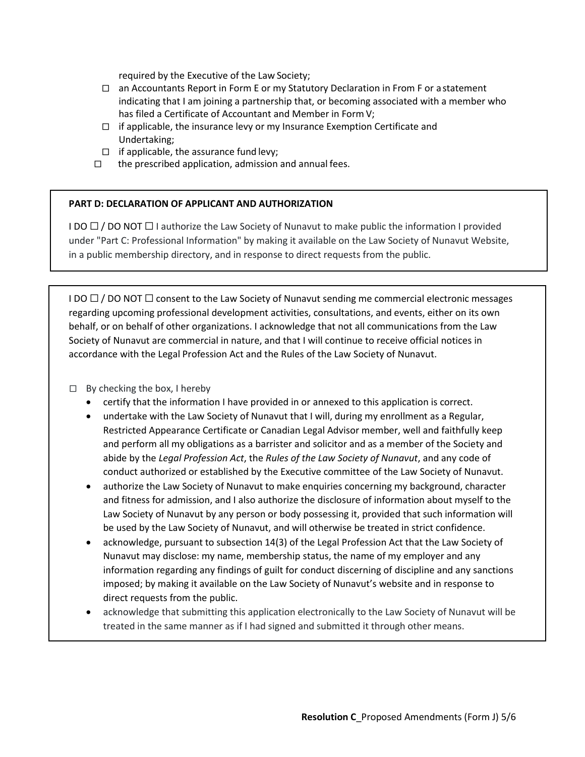required by the Executive of the Law Society;

- $\Box$  an Accountants Report in Form E or my Statutory Declaration in From F or a statement indicating that I am joining a partnership that, or becoming associated with a member who has filed a Certificate of Accountant and Member in Form V;
- $\Box$  if applicable, the insurance levy or my Insurance Exemption Certificate and Undertaking;
- $\Box$  if applicable, the assurance fund levy;
- □ the prescribed application, admission and annual fees.

## **PART D: DECLARATION OF APPLICANT AND AUTHORIZATION**

I DO  $\Box$  / DO NOT  $\Box$  I authorize the Law Society of Nunavut to make public the information I provided under "Part C: Professional Information" by making it available on the Law Society of Nunavut Website, in a public membership directory, and in response to direct requests from the public.

I DO  $\square$  / DO NOT  $\square$  consent to the Law Society of Nunavut sending me commercial electronic messages regarding upcoming professional development activities, consultations, and events, either on its own behalf, or on behalf of other organizations. I acknowledge that not all communications from the Law Society of Nunavut are commercial in nature, and that I will continue to receive official notices in accordance with the Legal Profession Act and the Rules of the Law Society of Nunavut.

 $\Box$  By checking the box, I hereby

- certify that the information I have provided in or annexed to this application is correct.
- undertake with the Law Society of Nunavut that I will, during my enrollment as a Regular, Restricted Appearance Certificate or Canadian Legal Advisor member, well and faithfully keep and perform all my obligations as a barrister and solicitor and as a member of the Society and abide by the *Legal Profession Act*, the *Rules of the Law Society of Nunavut*, and any code of conduct authorized or established by the Executive committee of the Law Society of Nunavut.
- authorize the Law Society of Nunavut to make enquiries concerning my background, character and fitness for admission, and I also authorize the disclosure of information about myself to the Law Society of Nunavut by any person or body possessing it, provided that such information will be used by the Law Society of Nunavut, and will otherwise be treated in strict confidence.
- acknowledge, pursuant to subsection 14(3) of the Legal Profession Act that the Law Society of Nunavut may disclose: my name, membership status, the name of my employer and any information regarding any findings of guilt for conduct discerning of discipline and any sanctions imposed; by making it available on the Law Society of Nunavut's website and in response to direct requests from the public.
- acknowledge that submitting this application electronically to the Law Society of Nunavut will be treated in the same manner as if I had signed and submitted it through other means.